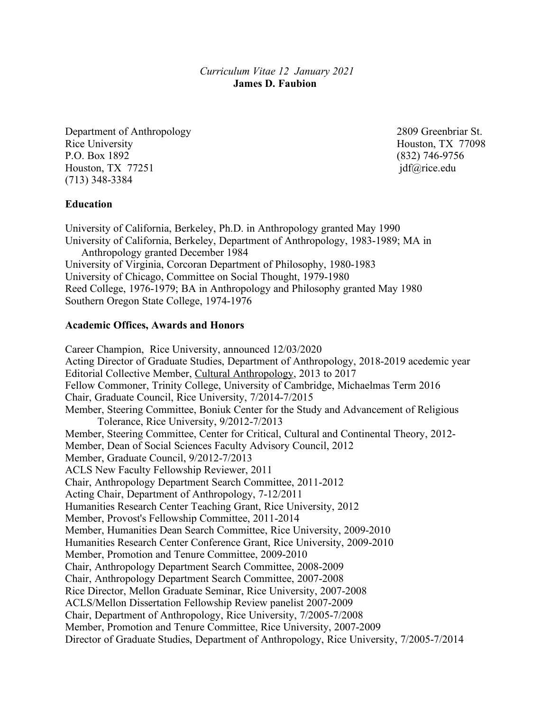*Curriculum Vitae 12 January 2021* **James D. Faubion**

Department of Anthropology 2809 Greenbriar St. Rice University Houston, TX 77098 P.O. Box 1892 (832) 746-9756 Houston, TX 77251 jdf@rice.edu (713) 348-3384

#### **Education**

University of California, Berkeley, Ph.D. in Anthropology granted May 1990 University of California, Berkeley, Department of Anthropology, 1983-1989; MA in Anthropology granted December 1984 University of Virginia, Corcoran Department of Philosophy, 1980-1983 University of Chicago, Committee on Social Thought, 1979-1980 Reed College, 1976-1979; BA in Anthropology and Philosophy granted May 1980 Southern Oregon State College, 1974-1976

#### **Academic Offices, Awards and Honors**

Career Champion, Rice University, announced 12/03/2020 Acting Director of Graduate Studies, Department of Anthropology, 2018-2019 acedemic year Editorial Collective Member, Cultural Anthropology, 2013 to 2017 Fellow Commoner, Trinity College, University of Cambridge, Michaelmas Term 2016 Chair, Graduate Council, Rice University, 7/2014-7/2015 Member, Steering Committee, Boniuk Center for the Study and Advancement of Religious Tolerance, Rice University, 9/2012-7/2013 Member, Steering Committee, Center for Critical, Cultural and Continental Theory, 2012- Member, Dean of Social Sciences Faculty Advisory Council, 2012 Member, Graduate Council, 9/2012-7/2013 ACLS New Faculty Fellowship Reviewer, 2011 Chair, Anthropology Department Search Committee, 2011-2012 Acting Chair, Department of Anthropology, 7-12/2011 Humanities Research Center Teaching Grant, Rice University, 2012 Member, Provost's Fellowship Committee, 2011-2014 Member, Humanities Dean Search Committee, Rice University, 2009-2010 Humanities Research Center Conference Grant, Rice University, 2009-2010 Member, Promotion and Tenure Committee, 2009-2010 Chair, Anthropology Department Search Committee, 2008-2009 Chair, Anthropology Department Search Committee, 2007-2008 Rice Director, Mellon Graduate Seminar, Rice University, 2007-2008 ACLS/Mellon Dissertation Fellowship Review panelist 2007-2009 Chair, Department of Anthropology, Rice University, 7/2005-7/2008 Member, Promotion and Tenure Committee, Rice University, 2007-2009 Director of Graduate Studies, Department of Anthropology, Rice University, 7/2005-7/2014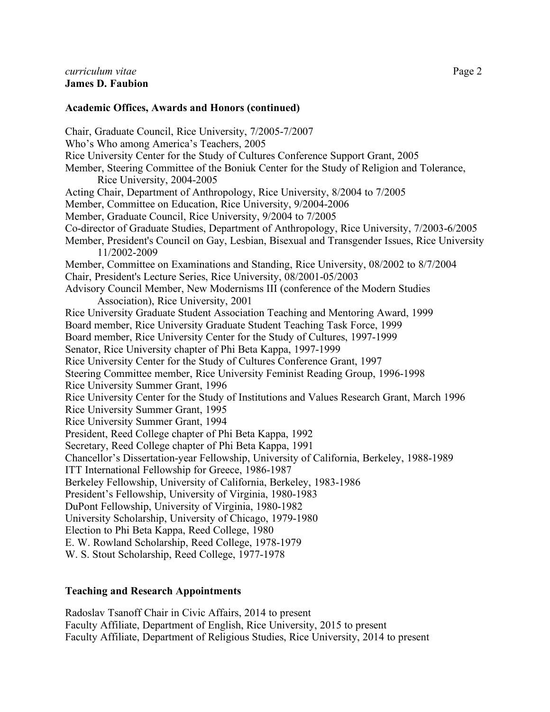#### **Academic Offices, Awards and Honors (continued)**

Chair, Graduate Council, Rice University, 7/2005-7/2007 Who's Who among America's Teachers, 2005 Rice University Center for the Study of Cultures Conference Support Grant, 2005 Member, Steering Committee of the Boniuk Center for the Study of Religion and Tolerance, Rice University, 2004-2005 Acting Chair, Department of Anthropology, Rice University, 8/2004 to 7/2005 Member, Committee on Education, Rice University, 9/2004-2006 Member, Graduate Council, Rice University, 9/2004 to 7/2005 Co-director of Graduate Studies, Department of Anthropology, Rice University, 7/2003-6/2005 Member, President's Council on Gay, Lesbian, Bisexual and Transgender Issues, Rice University 11/2002-2009 Member, Committee on Examinations and Standing, Rice University, 08/2002 to 8/7/2004 Chair, President's Lecture Series, Rice University, 08/2001-05/2003 Advisory Council Member, New Modernisms III (conference of the Modern Studies Association), Rice University, 2001 Rice University Graduate Student Association Teaching and Mentoring Award, 1999 Board member, Rice University Graduate Student Teaching Task Force, 1999 Board member, Rice University Center for the Study of Cultures, 1997-1999 Senator, Rice University chapter of Phi Beta Kappa, 1997-1999 Rice University Center for the Study of Cultures Conference Grant, 1997 Steering Committee member, Rice University Feminist Reading Group, 1996-1998 Rice University Summer Grant, 1996 Rice University Center for the Study of Institutions and Values Research Grant, March 1996 Rice University Summer Grant, 1995 Rice University Summer Grant, 1994 President, Reed College chapter of Phi Beta Kappa, 1992 Secretary, Reed College chapter of Phi Beta Kappa, 1991 Chancellor's Dissertation-year Fellowship, University of California, Berkeley, 1988-1989 ITT International Fellowship for Greece, 1986-1987 Berkeley Fellowship, University of California, Berkeley, 1983-1986 President's Fellowship, University of Virginia, 1980-1983 DuPont Fellowship, University of Virginia, 1980-1982 University Scholarship, University of Chicago, 1979-1980 Election to Phi Beta Kappa, Reed College, 1980 E. W. Rowland Scholarship, Reed College, 1978-1979 W. S. Stout Scholarship, Reed College, 1977-1978

# **Teaching and Research Appointments**

Radoslav Tsanoff Chair in Civic Affairs, 2014 to present Faculty Affiliate, Department of English, Rice University, 2015 to present Faculty Affiliate, Department of Religious Studies, Rice University, 2014 to present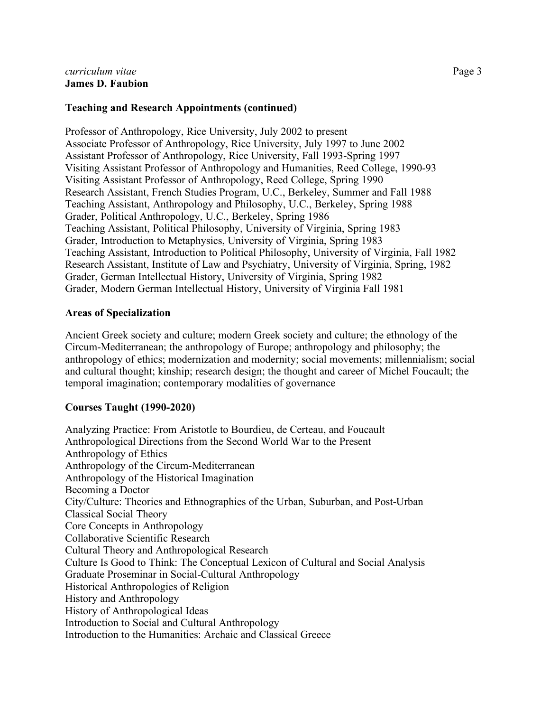# **Teaching and Research Appointments (continued)**

Professor of Anthropology, Rice University, July 2002 to present Associate Professor of Anthropology, Rice University, July 1997 to June 2002 Assistant Professor of Anthropology, Rice University, Fall 1993-Spring 1997 Visiting Assistant Professor of Anthropology and Humanities, Reed College, 1990-93 Visiting Assistant Professor of Anthropology, Reed College, Spring 1990 Research Assistant, French Studies Program, U.C., Berkeley, Summer and Fall 1988 Teaching Assistant, Anthropology and Philosophy, U.C., Berkeley, Spring 1988 Grader, Political Anthropology, U.C., Berkeley, Spring 1986 Teaching Assistant, Political Philosophy, University of Virginia, Spring 1983 Grader, Introduction to Metaphysics, University of Virginia, Spring 1983 Teaching Assistant, Introduction to Political Philosophy, University of Virginia, Fall 1982 Research Assistant, Institute of Law and Psychiatry, University of Virginia, Spring, 1982 Grader, German Intellectual History, University of Virginia, Spring 1982 Grader, Modern German Intellectual History, University of Virginia Fall 1981

#### **Areas of Specialization**

Ancient Greek society and culture; modern Greek society and culture; the ethnology of the Circum-Mediterranean; the anthropology of Europe; anthropology and philosophy; the anthropology of ethics; modernization and modernity; social movements; millennialism; social and cultural thought; kinship; research design; the thought and career of Michel Foucault; the temporal imagination; contemporary modalities of governance

# **Courses Taught (1990-2020)**

Analyzing Practice: From Aristotle to Bourdieu, de Certeau, and Foucault Anthropological Directions from the Second World War to the Present Anthropology of Ethics Anthropology of the Circum-Mediterranean Anthropology of the Historical Imagination Becoming a Doctor City/Culture: Theories and Ethnographies of the Urban, Suburban, and Post-Urban Classical Social Theory Core Concepts in Anthropology Collaborative Scientific Research Cultural Theory and Anthropological Research Culture Is Good to Think: The Conceptual Lexicon of Cultural and Social Analysis Graduate Proseminar in Social-Cultural Anthropology Historical Anthropologies of Religion History and Anthropology History of Anthropological Ideas Introduction to Social and Cultural Anthropology Introduction to the Humanities: Archaic and Classical Greece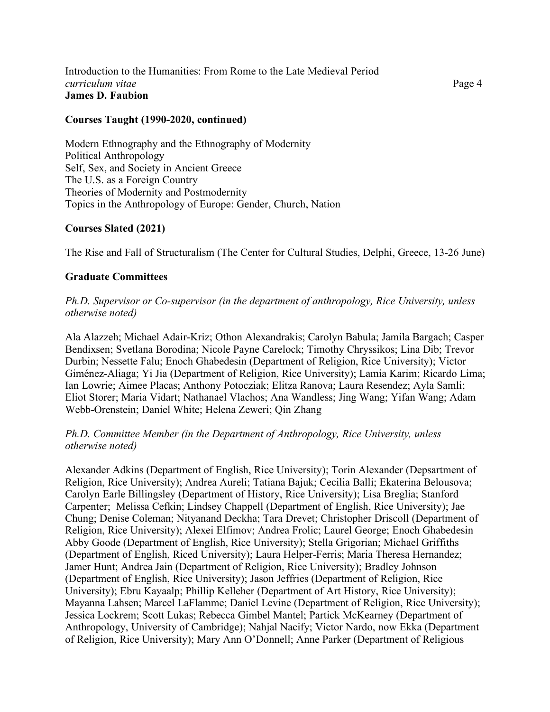#### Introduction to the Humanities: From Rome to the Late Medieval Period *curriculum vitae* Page 4 **James D. Faubion**

#### **Courses Taught (1990-2020, continued)**

Modern Ethnography and the Ethnography of Modernity Political Anthropology Self, Sex, and Society in Ancient Greece The U.S. as a Foreign Country Theories of Modernity and Postmodernity Topics in the Anthropology of Europe: Gender, Church, Nation

#### **Courses Slated (2021)**

The Rise and Fall of Structuralism (The Center for Cultural Studies, Delphi, Greece, 13-26 June)

#### **Graduate Committees**

*Ph.D. Supervisor or Co-supervisor (in the department of anthropology, Rice University, unless otherwise noted)*

Ala Alazzeh; Michael Adair-Kriz; Othon Alexandrakis; Carolyn Babula; Jamila Bargach; Casper Bendixsen; Svetlana Borodina; Nicole Payne Carelock; Timothy Chryssikos; Lina Dib; Trevor Durbin; Nessette Falu; Enoch Ghabedesin (Department of Religion, Rice University); Victor Giménez-Aliaga; Yi Jia (Department of Religion, Rice University); Lamia Karim; Ricardo Lima; Ian Lowrie; Aimee Placas; Anthony Potocziak; Elitza Ranova; Laura Resendez; Ayla Samli; Eliot Storer; Maria Vidart; Nathanael Vlachos; Ana Wandless; Jing Wang; Yifan Wang; Adam Webb-Orenstein; Daniel White; Helena Zeweri; Qin Zhang

#### *Ph.D. Committee Member (in the Department of Anthropology, Rice University, unless otherwise noted)*

Alexander Adkins (Department of English, Rice University); Torin Alexander (Depsartment of Religion, Rice University); Andrea Aureli; Tatiana Bajuk; Cecilia Balli; Ekaterina Belousova; Carolyn Earle Billingsley (Department of History, Rice University); Lisa Breglia; Stanford Carpenter; Melissa Cefkin; Lindsey Chappell (Department of English, Rice University); Jae Chung; Denise Coleman; Nityanand Deckha; Tara Drevet; Christopher Driscoll (Department of Religion, Rice University); Alexei Elfimov; Andrea Frolic; Laurel George; Enoch Ghabedesin Abby Goode (Department of English, Rice University); Stella Grigorian; Michael Griffiths (Department of English, Riced University); Laura Helper-Ferris; Maria Theresa Hernandez; Jamer Hunt; Andrea Jain (Department of Religion, Rice University); Bradley Johnson (Department of English, Rice University); Jason Jeffries (Department of Religion, Rice University); Ebru Kayaalp; Phillip Kelleher (Department of Art History, Rice University); Mayanna Lahsen; Marcel LaFlamme; Daniel Levine (Department of Religion, Rice University); Jessica Lockrem; Scott Lukas; Rebecca Gimbel Mantel; Partick McKearney (Department of Anthropology, University of Cambridge); Nahjal Nacify; Victor Nardo, now Ekka (Department of Religion, Rice University); Mary Ann O'Donnell; Anne Parker (Department of Religious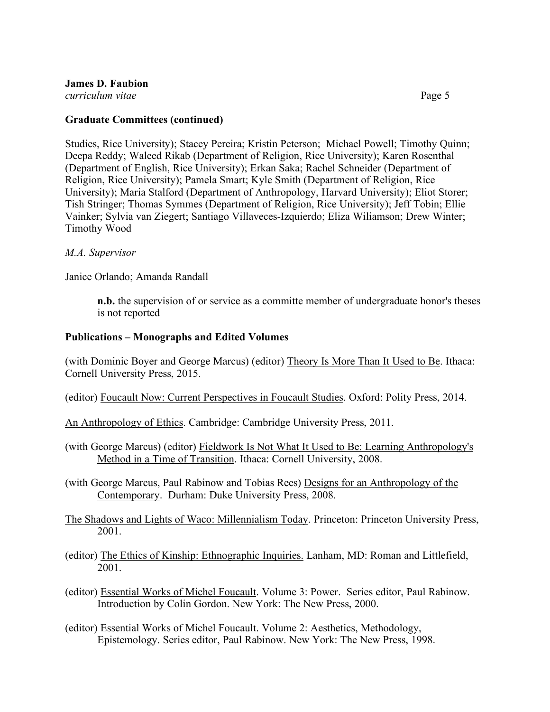# **James D. Faubion**

*curriculum vitae* Page 5

#### **Graduate Committees (continued)**

Studies, Rice University); Stacey Pereira; Kristin Peterson; Michael Powell; Timothy Quinn; Deepa Reddy; Waleed Rikab (Department of Religion, Rice University); Karen Rosenthal (Department of English, Rice University); Erkan Saka; Rachel Schneider (Department of Religion, Rice University); Pamela Smart; Kyle Smith (Department of Religion, Rice University); Maria Stalford (Department of Anthropology, Harvard University); Eliot Storer; Tish Stringer; Thomas Symmes (Department of Religion, Rice University); Jeff Tobin; Ellie Vainker; Sylvia van Ziegert; Santiago Villaveces-Izquierdo; Eliza Wiliamson; Drew Winter; Timothy Wood

#### *M.A. Supervisor*

Janice Orlando; Amanda Randall

**n.b.** the supervision of or service as a committe member of undergraduate honor's theses is not reported

# **Publications – Monographs and Edited Volumes**

(with Dominic Boyer and George Marcus) (editor) Theory Is More Than It Used to Be. Ithaca: Cornell University Press, 2015.

- (editor) Foucault Now: Current Perspectives in Foucault Studies. Oxford: Polity Press, 2014.
- An Anthropology of Ethics. Cambridge: Cambridge University Press, 2011.
- (with George Marcus) (editor) Fieldwork Is Not What It Used to Be: Learning Anthropology's Method in a Time of Transition. Ithaca: Cornell University, 2008.

(with George Marcus, Paul Rabinow and Tobias Rees) Designs for an Anthropology of the Contemporary. Durham: Duke University Press, 2008.

- The Shadows and Lights of Waco: Millennialism Today. Princeton: Princeton University Press, 2001.
- (editor) The Ethics of Kinship: Ethnographic Inquiries. Lanham, MD: Roman and Littlefield, 2001.
- (editor) Essential Works of Michel Foucault. Volume 3: Power. Series editor, Paul Rabinow. Introduction by Colin Gordon. New York: The New Press, 2000.
- (editor) Essential Works of Michel Foucault. Volume 2: Aesthetics, Methodology, Epistemology. Series editor, Paul Rabinow. New York: The New Press, 1998.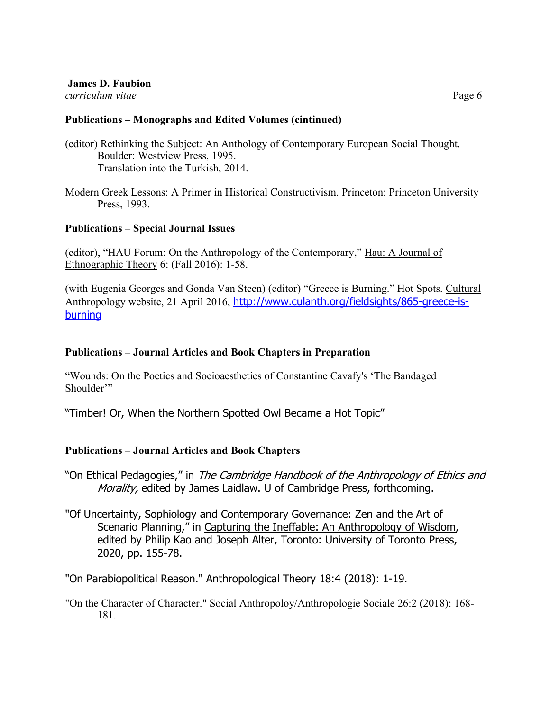**James D. Faubion**

*curriculum vitae* Page 6

# **Publications – Monographs and Edited Volumes (cintinued)**

(editor) Rethinking the Subject: An Anthology of Contemporary European Social Thought. Boulder: Westview Press, 1995. Translation into the Turkish, 2014.

Modern Greek Lessons: A Primer in Historical Constructivism. Princeton: Princeton University Press, 1993.

# **Publications – Special Journal Issues**

(editor), "HAU Forum: On the Anthropology of the Contemporary," Hau: A Journal of Ethnographic Theory 6: (Fall 2016): 1-58.

(with Eugenia Georges and Gonda Van Steen) (editor) "Greece is Burning." Hot Spots. Cultural Anthropology website, 21 April 2016, http://www.culanth.org/fieldsights/865-greece-isburning

# **Publications – Journal Articles and Book Chapters in Preparation**

"Wounds: On the Poetics and Socioaesthetics of Constantine Cavafy's 'The Bandaged Shoulder'"

"Timber! Or, When the Northern Spotted Owl Became a Hot Topic"

# **Publications – Journal Articles and Book Chapters**

- "On Ethical Pedagogies," in The Cambridge Handbook of the Anthropology of Ethics and Morality, edited by James Laidlaw. U of Cambridge Press, forthcoming.
- "Of Uncertainty, Sophiology and Contemporary Governance: Zen and the Art of Scenario Planning," in Capturing the Ineffable: An Anthropology of Wisdom, edited by Philip Kao and Joseph Alter, Toronto: University of Toronto Press, 2020, pp. 155-78.

"On Parabiopolitical Reason." Anthropological Theory 18:4 (2018): 1-19.

"On the Character of Character." Social Anthropoloy/Anthropologie Sociale 26:2 (2018): 168- 181.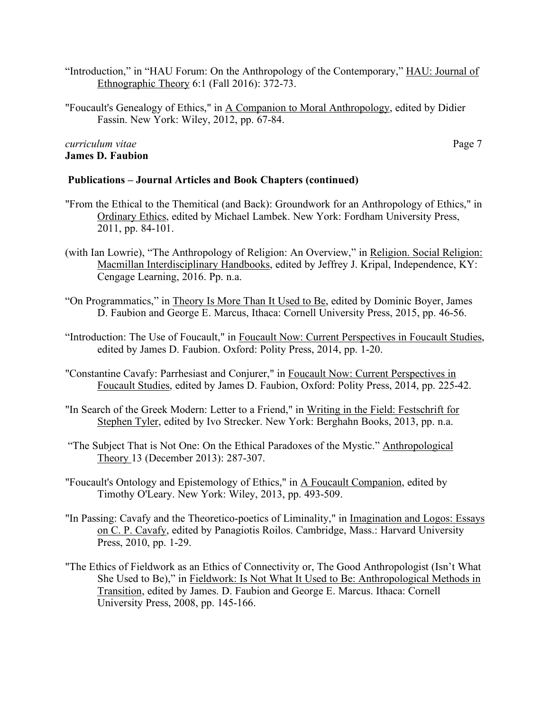- "Introduction," in "HAU Forum: On the Anthropology of the Contemporary," HAU: Journal of Ethnographic Theory 6:1 (Fall 2016): 372-73.
- "Foucault's Genealogy of Ethics," in A Companion to Moral Anthropology, edited by Didier Fassin. New York: Wiley, 2012, pp. 67-84.

# *curriculum vitae* Page 7 **James D. Faubion**

#### **Publications – Journal Articles and Book Chapters (continued)**

- "From the Ethical to the Themitical (and Back): Groundwork for an Anthropology of Ethics," in Ordinary Ethics, edited by Michael Lambek. New York: Fordham University Press, 2011, pp. 84-101.
- (with Ian Lowrie), "The Anthropology of Religion: An Overview," in Religion. Social Religion: Macmillan Interdisciplinary Handbooks, edited by Jeffrey J. Kripal, Independence, KY: Cengage Learning, 2016. Pp. n.a.
- "On Programmatics," in Theory Is More Than It Used to Be, edited by Dominic Boyer, James D. Faubion and George E. Marcus, Ithaca: Cornell University Press, 2015, pp. 46-56.
- "Introduction: The Use of Foucault," in Foucault Now: Current Perspectives in Foucault Studies, edited by James D. Faubion. Oxford: Polity Press, 2014, pp. 1-20.
- "Constantine Cavafy: Parrhesiast and Conjurer," in Foucault Now: Current Perspectives in Foucault Studies, edited by James D. Faubion, Oxford: Polity Press, 2014, pp. 225-42.
- "In Search of the Greek Modern: Letter to a Friend," in Writing in the Field: Festschrift for Stephen Tyler, edited by Ivo Strecker. New York: Berghahn Books, 2013, pp. n.a.
- "The Subject That is Not One: On the Ethical Paradoxes of the Mystic." Anthropological Theory 13 (December 2013): 287-307.
- "Foucault's Ontology and Epistemology of Ethics," in A Foucault Companion, edited by Timothy O'Leary. New York: Wiley, 2013, pp. 493-509.
- "In Passing: Cavafy and the Theoretico-poetics of Liminality," in Imagination and Logos: Essays on C. P. Cavafy, edited by Panagiotis Roilos. Cambridge, Mass.: Harvard University Press, 2010, pp. 1-29.
- "The Ethics of Fieldwork as an Ethics of Connectivity or, The Good Anthropologist (Isn't What She Used to Be)," in Fieldwork: Is Not What It Used to Be: Anthropological Methods in Transition, edited by James. D. Faubion and George E. Marcus. Ithaca: Cornell University Press, 2008, pp. 145-166.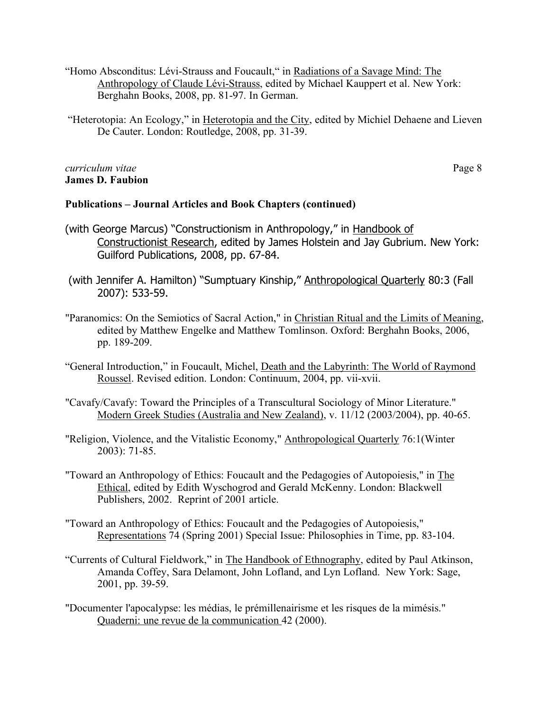- "Homo Absconditus: Lévi-Strauss and Foucault," in Radiations of a Savage Mind: The Anthropology of Claude Lévi-Strauss, edited by Michael Kauppert et al. New York: Berghahn Books, 2008, pp. 81-97. In German.
- "Heterotopia: An Ecology," in Heterotopia and the City, edited by Michiel Dehaene and Lieven De Cauter. London: Routledge, 2008, pp. 31-39.

#### *curriculum vitae* Page 8 **James D. Faubion**

# **Publications – Journal Articles and Book Chapters (continued)**

- (with George Marcus) "Constructionism in Anthropology," in Handbook of Constructionist Research, edited by James Holstein and Jay Gubrium. New York: Guilford Publications, 2008, pp. 67-84.
- (with Jennifer A. Hamilton) "Sumptuary Kinship," Anthropological Quarterly 80:3 (Fall 2007): 533-59.
- "Paranomics: On the Semiotics of Sacral Action," in Christian Ritual and the Limits of Meaning, edited by Matthew Engelke and Matthew Tomlinson. Oxford: Berghahn Books, 2006, pp. 189-209.
- "General Introduction," in Foucault, Michel, Death and the Labyrinth: The World of Raymond Roussel. Revised edition. London: Continuum, 2004, pp. vii-xvii.
- "Cavafy/Cavafy: Toward the Principles of a Transcultural Sociology of Minor Literature." Modern Greek Studies (Australia and New Zealand), v. 11/12 (2003/2004), pp. 40-65.
- "Religion, Violence, and the Vitalistic Economy," Anthropological Quarterly 76:1(Winter 2003): 71-85.
- "Toward an Anthropology of Ethics: Foucault and the Pedagogies of Autopoiesis," in The Ethical, edited by Edith Wyschogrod and Gerald McKenny. London: Blackwell Publishers, 2002. Reprint of 2001 article.
- "Toward an Anthropology of Ethics: Foucault and the Pedagogies of Autopoiesis," Representations 74 (Spring 2001) Special Issue: Philosophies in Time, pp. 83-104.
- "Currents of Cultural Fieldwork," in The Handbook of Ethnography, edited by Paul Atkinson, Amanda Coffey, Sara Delamont, John Lofland, and Lyn Lofland. New York: Sage, 2001, pp. 39-59.
- "Documenter l'apocalypse: les médias, le prémillenairisme et les risques de la mimésis." Quaderni: une revue de la communication 42 (2000).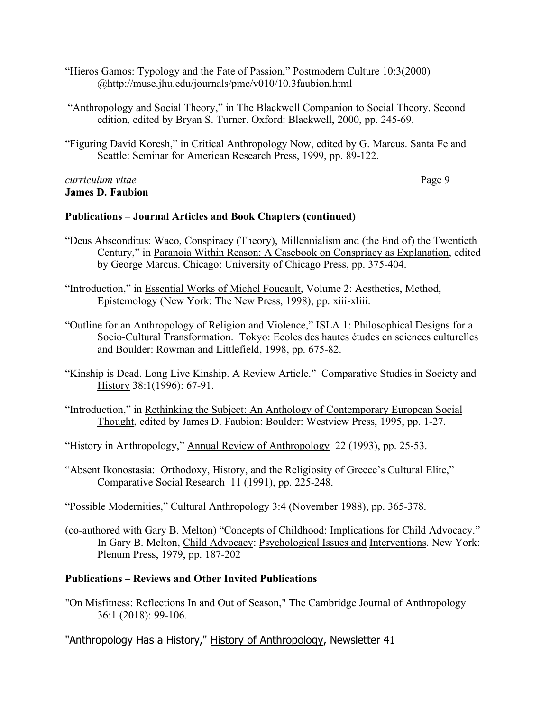- "Hieros Gamos: Typology and the Fate of Passion," Postmodern Culture 10:3(2000) @http://muse.jhu.edu/journals/pmc/v010/10.3faubion.html
- "Anthropology and Social Theory," in The Blackwell Companion to Social Theory. Second edition, edited by Bryan S. Turner. Oxford: Blackwell, 2000, pp. 245-69.
- "Figuring David Koresh," in Critical Anthropology Now, edited by G. Marcus. Santa Fe and Seattle: Seminar for American Research Press, 1999, pp. 89-122.

### *curriculum vitae* Page 9 **James D. Faubion**

# **Publications – Journal Articles and Book Chapters (continued)**

- "Deus Absconditus: Waco, Conspiracy (Theory), Millennialism and (the End of) the Twentieth Century," in Paranoia Within Reason: A Casebook on Conspriacy as Explanation, edited by George Marcus. Chicago: University of Chicago Press, pp. 375-404.
- "Introduction," in Essential Works of Michel Foucault, Volume 2: Aesthetics, Method, Epistemology (New York: The New Press, 1998), pp. xiii-xliii.
- "Outline for an Anthropology of Religion and Violence," ISLA 1: Philosophical Designs for a Socio-Cultural Transformation. Tokyo: Ecoles des hautes études en sciences culturelles and Boulder: Rowman and Littlefield, 1998, pp. 675-82.
- "Kinship is Dead. Long Live Kinship. A Review Article." Comparative Studies in Society and History 38:1(1996): 67-91.
- "Introduction," in Rethinking the Subject: An Anthology of Contemporary European Social Thought, edited by James D. Faubion: Boulder: Westview Press, 1995, pp. 1-27.

"History in Anthropology," Annual Review of Anthropology 22 (1993), pp. 25-53.

"Absent Ikonostasia: Orthodoxy, History, and the Religiosity of Greece's Cultural Elite," Comparative Social Research 11 (1991), pp. 225-248.

"Possible Modernities," Cultural Anthropology 3:4 (November 1988), pp. 365-378.

(co-authored with Gary B. Melton) "Concepts of Childhood: Implications for Child Advocacy." In Gary B. Melton, Child Advocacy: Psychological Issues and Interventions. New York: Plenum Press, 1979, pp. 187-202

# **Publications – Reviews and Other Invited Publications**

"On Misfitness: Reflections In and Out of Season," The Cambridge Journal of Anthropology 36:1 (2018): 99-106.

"Anthropology Has a History," History of Anthropology, Newsletter 41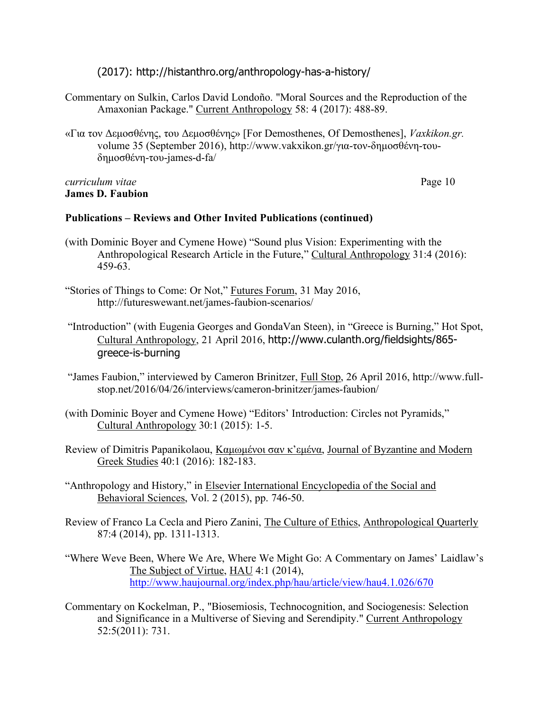(2017): http://histanthro.org/anthropology-has-a-history/

- Commentary on Sulkin, Carlos David Londoño. "Moral Sources and the Reproduction of the Amaxonian Package." Current Anthropology 58: 4 (2017): 488-89.
- «Για τον Δεµοσθένης, του Δεµοσθένης» [For Demosthenes, Of Demosthenes], *Vaxkikon.gr.*  volume 35 (September 2016), http://www.vakxikon.gr/για-τον-δηµοσθένη-τουδηµοσθένη-του-james-d-fa/

#### *curriculum vitae* Page 10 **James D. Faubion**

# **Publications – Reviews and Other Invited Publications (continued)**

- (with Dominic Boyer and Cymene Howe) "Sound plus Vision: Experimenting with the Anthropological Research Article in the Future," Cultural Anthropology 31:4 (2016): 459-63.
- "Stories of Things to Come: Or Not," Futures Forum, 31 May 2016, http://futureswewant.net/james-faubion-scenarios/
- "Introduction" (with Eugenia Georges and GondaVan Steen), in "Greece is Burning," Hot Spot, Cultural Anthropology, 21 April 2016, http://www.culanth.org/fieldsights/865 greece-is-burning
- "James Faubion," interviewed by Cameron Brinitzer, Full Stop, 26 April 2016, http://www.fullstop.net/2016/04/26/interviews/cameron-brinitzer/james-faubion/
- (with Dominic Boyer and Cymene Howe) "Editors' Introduction: Circles not Pyramids," Cultural Anthropology 30:1 (2015): 1-5.
- Review of Dimitris Papanikolaou, Καμωμένοι σαν κ'εμένα, Journal of Byzantine and Modern Greek Studies 40:1 (2016): 182-183.
- "Anthropology and History," in Elsevier International Encyclopedia of the Social and Behavioral Sciences, Vol. 2 (2015), pp. 746-50.
- Review of Franco La Cecla and Piero Zanini, The Culture of Ethics, Anthropological Quarterly 87:4 (2014), pp. 1311-1313.
- "Where Weve Been, Where We Are, Where We Might Go: A Commentary on James' Laidlaw's The Subject of Virtue, HAU 4:1 (2014), http://www.haujournal.org/index.php/hau/article/view/hau4.1.026/670
- Commentary on Kockelman, P., "Biosemiosis, Technocognition, and Sociogenesis: Selection and Significance in a Multiverse of Sieving and Serendipity." Current Anthropology 52:5(2011): 731.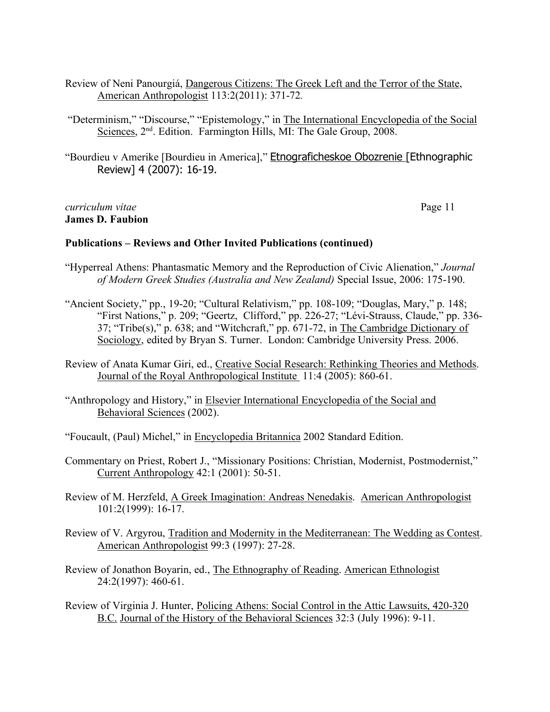- Review of Neni Panourgiá, Dangerous Citizens: The Greek Left and the Terror of the State, American Anthropologist 113:2(2011): 371-72*.*
- "Determinism," "Discourse," "Epistemology," in The International Encyclopedia of the Social Sciences,  $2<sup>nd</sup>$ . Edition. Farmington Hills, MI: The Gale Group, 2008.
- "Bourdieu v Amerike [Bourdieu in America]," Etnograficheskoe Obozrenie [Ethnographic Review] 4 (2007): 16-19.

*curriculum vitae* Page 11 **James D. Faubion**

#### **Publications – Reviews and Other Invited Publications (continued)**

- "Hyperreal Athens: Phantasmatic Memory and the Reproduction of Civic Alienation," *Journal of Modern Greek Studies (Australia and New Zealand)* Special Issue, 2006: 175-190.
- "Ancient Society," pp., 19-20; "Cultural Relativism," pp. 108-109; "Douglas, Mary," p. 148; "First Nations," p. 209; "Geertz, Clifford," pp. 226-27; "Lévi-Strauss, Claude," pp. 336- 37; "Tribe(s)," p. 638; and "Witchcraft," pp. 671-72, in The Cambridge Dictionary of Sociology, edited by Bryan S. Turner. London: Cambridge University Press. 2006.
- Review of Anata Kumar Giri, ed., Creative Social Research: Rethinking Theories and Methods. Journal of the Royal Anthropological Institute 11:4 (2005): 860-61.
- "Anthropology and History," in Elsevier International Encyclopedia of the Social and Behavioral Sciences (2002).
- "Foucault, (Paul) Michel," in Encyclopedia Britannica 2002 Standard Edition.
- Commentary on Priest, Robert J., "Missionary Positions: Christian, Modernist, Postmodernist," Current Anthropology 42:1 (2001): 50-51.
- Review of M. Herzfeld, A Greek Imagination: Andreas Nenedakis. American Anthropologist 101:2(1999): 16-17.
- Review of V. Argyrou, Tradition and Modernity in the Mediterranean: The Wedding as Contest. American Anthropologist 99:3 (1997): 27-28.
- Review of Jonathon Boyarin, ed., The Ethnography of Reading. American Ethnologist 24:2(1997): 460-61.
- Review of Virginia J. Hunter, Policing Athens: Social Control in the Attic Lawsuits, 420-320 B.C. Journal of the History of the Behavioral Sciences 32:3 (July 1996): 9-11.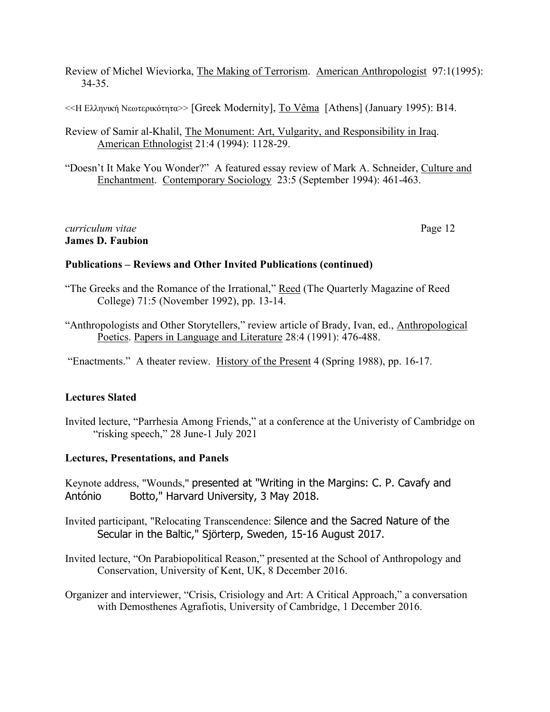Review of Michel Wieviorka, The Making of Terrorism. American Anthropologist 97:1(1995): 34-35.

 $<<$ Η Ελληνική Νεωτερικότητα>> [Greek Modernity], <u>To Vêma</u> [Athens] (January 1995): B14.

Review of Samir al-Khalil, The Monument: Art, Vulgarity, and Responsibility in Iraq. American Ethnologist 21:4 (1994): 1128-29.

"Doesn't It Make You Wonder?" A featured essay review of Mark A. Schneider, Culture and Enchantment. Contemporary Sociology 23:5 (September 1994): 461-463.

*curriculum vitae* Page 12 **James D. Faubion**

#### **Publications – Reviews and Other Invited Publications (continued)**

- "The Greeks and the Romance of the Irrational," Reed (The Quarterly Magazine of Reed College) 71:5 (November 1992), pp. 13-14.
- "Anthropologists and Other Storytellers," review article of Brady, Ivan, ed., Anthropological Poetics. Papers in Language and Literature 28:4 (1991): 476-488.

"Enactments." A theater review. History of the Present 4 (Spring 1988), pp. 16-17.

# **Lectures Slated**

Invited lecture, "Parrhesia Among Friends," at a conference at the Univeristy of Cambridge on "risking speech," 28 June-1 July 2021

#### **Lectures, Presentations, and Panels**

Keynote address, "Wounds," presented at "Writing in the Margins: C. P. Cavafy and António Botto," Harvard University, 3 May 2018.

Invited participant, "Relocating Transcendence: Silence and the Sacred Nature of the Secular in the Baltic," Sjörterp, Sweden, 15-16 August 2017.

Invited lecture, "On Parabiopolitical Reason," presented at the School of Anthropology and Conservation, University of Kent, UK, 8 December 2016.

Organizer and interviewer, "Crisis, Crisiology and Art: A Critical Approach," a conversation with Demosthenes Agrafiotis, University of Cambridge, 1 December 2016.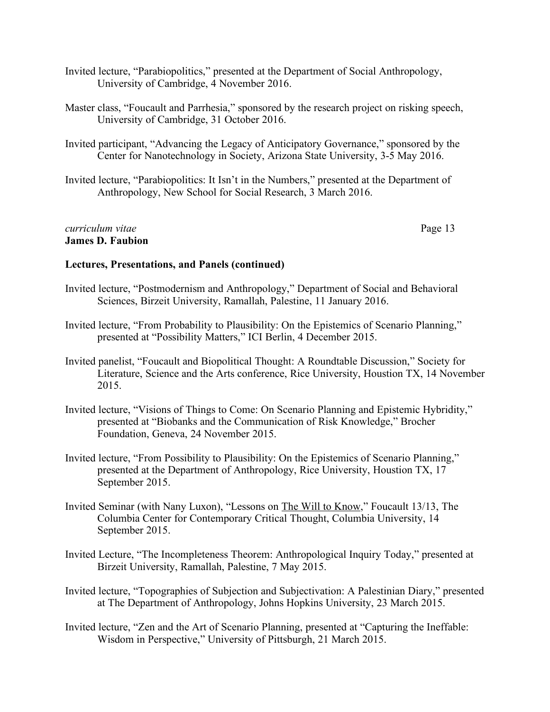- Invited lecture, "Parabiopolitics," presented at the Department of Social Anthropology, University of Cambridge, 4 November 2016.
- Master class, "Foucault and Parrhesia," sponsored by the research project on risking speech, University of Cambridge, 31 October 2016.
- Invited participant, "Advancing the Legacy of Anticipatory Governance," sponsored by the Center for Nanotechnology in Society, Arizona State University, 3-5 May 2016.
- Invited lecture, "Parabiopolitics: It Isn't in the Numbers," presented at the Department of Anthropology, New School for Social Research, 3 March 2016.

## *curriculum vitae* Page 13 **James D. Faubion**

- Invited lecture, "Postmodernism and Anthropology," Department of Social and Behavioral Sciences, Birzeit University, Ramallah, Palestine, 11 January 2016.
- Invited lecture, "From Probability to Plausibility: On the Epistemics of Scenario Planning," presented at "Possibility Matters," ICI Berlin, 4 December 2015.
- Invited panelist, "Foucault and Biopolitical Thought: A Roundtable Discussion," Society for Literature, Science and the Arts conference, Rice University, Houstion TX, 14 November 2015.
- Invited lecture, "Visions of Things to Come: On Scenario Planning and Epistemic Hybridity," presented at "Biobanks and the Communication of Risk Knowledge," Brocher Foundation, Geneva, 24 November 2015.
- Invited lecture, "From Possibility to Plausibility: On the Epistemics of Scenario Planning," presented at the Department of Anthropology, Rice University, Houstion TX, 17 September 2015.
- Invited Seminar (with Nany Luxon), "Lessons on The Will to Know," Foucault 13/13, The Columbia Center for Contemporary Critical Thought, Columbia University, 14 September 2015.
- Invited Lecture, "The Incompleteness Theorem: Anthropological Inquiry Today," presented at Birzeit University, Ramallah, Palestine, 7 May 2015.
- Invited lecture, "Topographies of Subjection and Subjectivation: A Palestinian Diary," presented at The Department of Anthropology, Johns Hopkins University, 23 March 2015.
- Invited lecture, "Zen and the Art of Scenario Planning, presented at "Capturing the Ineffable: Wisdom in Perspective," University of Pittsburgh, 21 March 2015.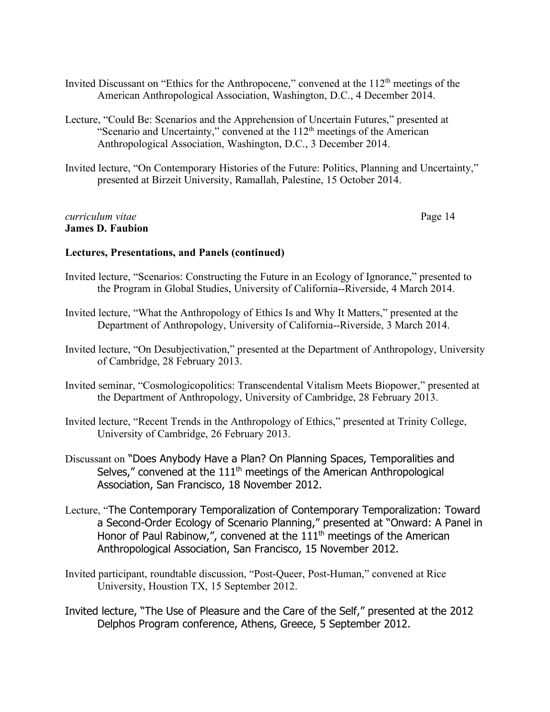- Invited Discussant on "Ethics for the Anthropocene," convened at the 112<sup>th</sup> meetings of the American Anthropological Association, Washington, D.C., 4 December 2014.
- Lecture, "Could Be: Scenarios and the Apprehension of Uncertain Futures," presented at "Scenario and Uncertainty," convened at the  $112<sup>th</sup>$  meetings of the American Anthropological Association, Washington, D.C., 3 December 2014.
- Invited lecture, "On Contemporary Histories of the Future: Politics, Planning and Uncertainty," presented at Birzeit University, Ramallah, Palestine, 15 October 2014.

#### *curriculum vitae* Page 14 **James D. Faubion**

- Invited lecture, "Scenarios: Constructing the Future in an Ecology of Ignorance," presented to the Program in Global Studies, University of California--Riverside, 4 March 2014.
- Invited lecture, "What the Anthropology of Ethics Is and Why It Matters," presented at the Department of Anthropology, University of California--Riverside, 3 March 2014.
- Invited lecture, "On Desubjectivation," presented at the Department of Anthropology, University of Cambridge, 28 February 2013.
- Invited seminar, "Cosmologicopolitics: Transcendental Vitalism Meets Biopower," presented at the Department of Anthropology, University of Cambridge, 28 February 2013.
- Invited lecture, "Recent Trends in the Anthropology of Ethics," presented at Trinity College, University of Cambridge, 26 February 2013.
- Discussant on "Does Anybody Have a Plan? On Planning Spaces, Temporalities and Selves," convened at the  $111<sup>th</sup>$  meetings of the American Anthropological Association, San Francisco, 18 November 2012.
- Lecture, "The Contemporary Temporalization of Contemporary Temporalization: Toward a Second-Order Ecology of Scenario Planning," presented at "Onward: A Panel in Honor of Paul Rabinow,", convened at the  $111<sup>th</sup>$  meetings of the American Anthropological Association, San Francisco, 15 November 2012.
- Invited participant, roundtable discussion, "Post-Queer, Post-Human," convened at Rice University, Houstion TX, 15 September 2012.
- Invited lecture, "The Use of Pleasure and the Care of the Self," presented at the 2012 Delphos Program conference, Athens, Greece, 5 September 2012.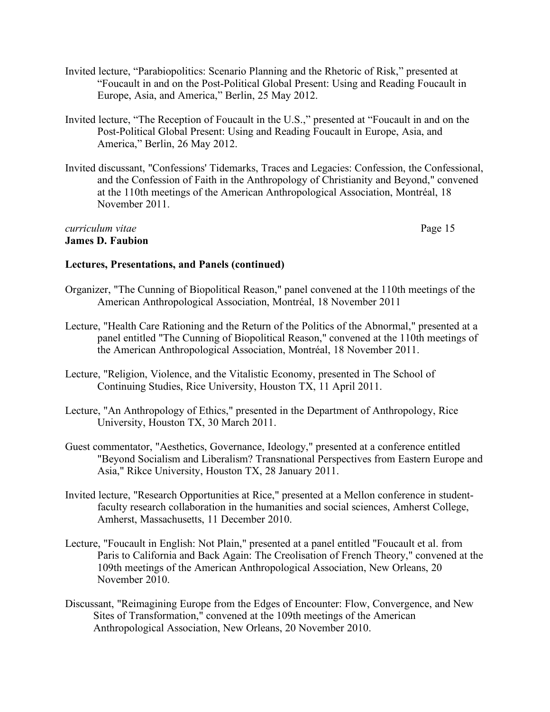- Invited lecture, "Parabiopolitics: Scenario Planning and the Rhetoric of Risk," presented at "Foucault in and on the Post-Political Global Present: Using and Reading Foucault in Europe, Asia, and America," Berlin, 25 May 2012.
- Invited lecture, "The Reception of Foucault in the U.S.," presented at "Foucault in and on the Post-Political Global Present: Using and Reading Foucault in Europe, Asia, and America," Berlin, 26 May 2012.
- Invited discussant, "Confessions' Tidemarks, Traces and Legacies: Confession, the Confessional, and the Confession of Faith in the Anthropology of Christianity and Beyond," convened at the 110th meetings of the American Anthropological Association, Montréal, 18 November 2011.

#### *curriculum vitae* Page 15 **James D. Faubion**

- Organizer, "The Cunning of Biopolitical Reason," panel convened at the 110th meetings of the American Anthropological Association, Montréal, 18 November 2011
- Lecture, "Health Care Rationing and the Return of the Politics of the Abnormal," presented at a panel entitled "The Cunning of Biopolitical Reason," convened at the 110th meetings of the American Anthropological Association, Montréal, 18 November 2011.
- Lecture, "Religion, Violence, and the Vitalistic Economy, presented in The School of Continuing Studies, Rice University, Houston TX, 11 April 2011.
- Lecture, "An Anthropology of Ethics," presented in the Department of Anthropology, Rice University, Houston TX, 30 March 2011.
- Guest commentator, "Aesthetics, Governance, Ideology," presented at a conference entitled "Beyond Socialism and Liberalism? Transnational Perspectives from Eastern Europe and Asia," Rikce University, Houston TX, 28 January 2011.
- Invited lecture, "Research Opportunities at Rice," presented at a Mellon conference in studentfaculty research collaboration in the humanities and social sciences, Amherst College, Amherst, Massachusetts, 11 December 2010.
- Lecture, "Foucault in English: Not Plain," presented at a panel entitled "Foucault et al. from Paris to California and Back Again: The Creolisation of French Theory," convened at the 109th meetings of the American Anthropological Association, New Orleans, 20 November 2010.
- Discussant, "Reimagining Europe from the Edges of Encounter: Flow, Convergence, and New Sites of Transformation," convened at the 109th meetings of the American Anthropological Association, New Orleans, 20 November 2010.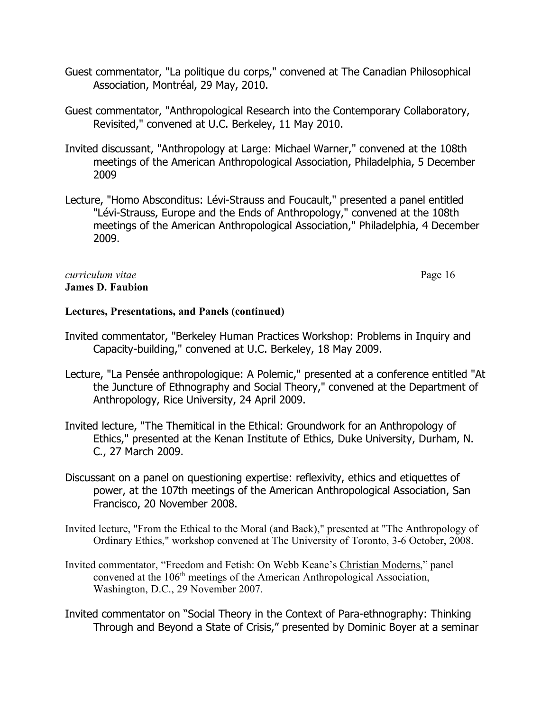- Guest commentator, "La politique du corps," convened at The Canadian Philosophical Association, Montréal, 29 May, 2010.
- Guest commentator, "Anthropological Research into the Contemporary Collaboratory, Revisited," convened at U.C. Berkeley, 11 May 2010.
- Invited discussant, "Anthropology at Large: Michael Warner," convened at the 108th meetings of the American Anthropological Association, Philadelphia, 5 December 2009
- Lecture, "Homo Absconditus: Lévi-Strauss and Foucault," presented a panel entitled "Lévi-Strauss, Europe and the Ends of Anthropology," convened at the 108th meetings of the American Anthropological Association," Philadelphia, 4 December 2009.

# *curriculum vitae* Page 16 **James D. Faubion**

- Invited commentator, "Berkeley Human Practices Workshop: Problems in Inquiry and Capacity-building," convened at U.C. Berkeley, 18 May 2009.
- Lecture, "La Pensée anthropologique: A Polemic," presented at a conference entitled "At the Juncture of Ethnography and Social Theory," convened at the Department of Anthropology, Rice University, 24 April 2009.
- Invited lecture, "The Themitical in the Ethical: Groundwork for an Anthropology of Ethics," presented at the Kenan Institute of Ethics, Duke University, Durham, N. C., 27 March 2009.
- Discussant on a panel on questioning expertise: reflexivity, ethics and etiquettes of power, at the 107th meetings of the American Anthropological Association, San Francisco, 20 November 2008.
- Invited lecture, "From the Ethical to the Moral (and Back)," presented at "The Anthropology of Ordinary Ethics," workshop convened at The University of Toronto, 3-6 October, 2008.
- Invited commentator, "Freedom and Fetish: On Webb Keane's Christian Moderns," panel convened at the 106<sup>th</sup> meetings of the American Anthropological Association, Washington, D.C., 29 November 2007.
- Invited commentator on "Social Theory in the Context of Para-ethnography: Thinking Through and Beyond a State of Crisis," presented by Dominic Boyer at a seminar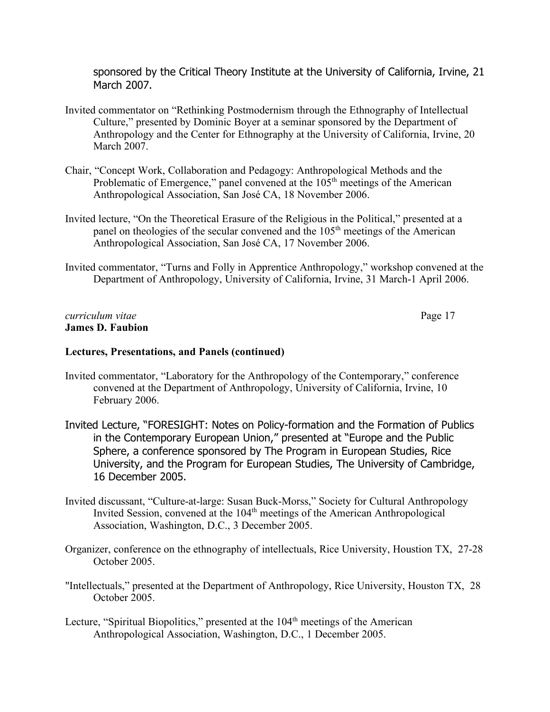sponsored by the Critical Theory Institute at the University of California, Irvine, 21 March 2007.

- Invited commentator on "Rethinking Postmodernism through the Ethnography of Intellectual Culture," presented by Dominic Boyer at a seminar sponsored by the Department of Anthropology and the Center for Ethnography at the University of California, Irvine, 20 March 2007.
- Chair, "Concept Work, Collaboration and Pedagogy: Anthropological Methods and the Problematic of Emergence," panel convened at the  $105<sup>th</sup>$  meetings of the American Anthropological Association, San José CA, 18 November 2006.
- Invited lecture, "On the Theoretical Erasure of the Religious in the Political," presented at a panel on theologies of the secular convened and the 105<sup>th</sup> meetings of the American Anthropological Association, San José CA, 17 November 2006.
- Invited commentator, "Turns and Folly in Apprentice Anthropology," workshop convened at the Department of Anthropology, University of California, Irvine, 31 March-1 April 2006.

## *curriculum vitae* Page 17 **James D. Faubion**

- Invited commentator, "Laboratory for the Anthropology of the Contemporary," conference convened at the Department of Anthropology, University of California, Irvine, 10 February 2006.
- Invited Lecture, "FORESIGHT: Notes on Policy-formation and the Formation of Publics in the Contemporary European Union," presented at "Europe and the Public Sphere, a conference sponsored by The Program in European Studies, Rice University, and the Program for European Studies, The University of Cambridge, 16 December 2005.
- Invited discussant, "Culture-at-large: Susan Buck-Morss," Society for Cultural Anthropology Invited Session, convened at the 104<sup>th</sup> meetings of the American Anthropological Association, Washington, D.C., 3 December 2005.
- Organizer, conference on the ethnography of intellectuals, Rice University, Houstion TX, 27-28 October 2005.
- "Intellectuals," presented at the Department of Anthropology, Rice University, Houston TX, 28 October 2005.
- Lecture, "Spiritual Biopolitics," presented at the 104<sup>th</sup> meetings of the American Anthropological Association, Washington, D.C., 1 December 2005.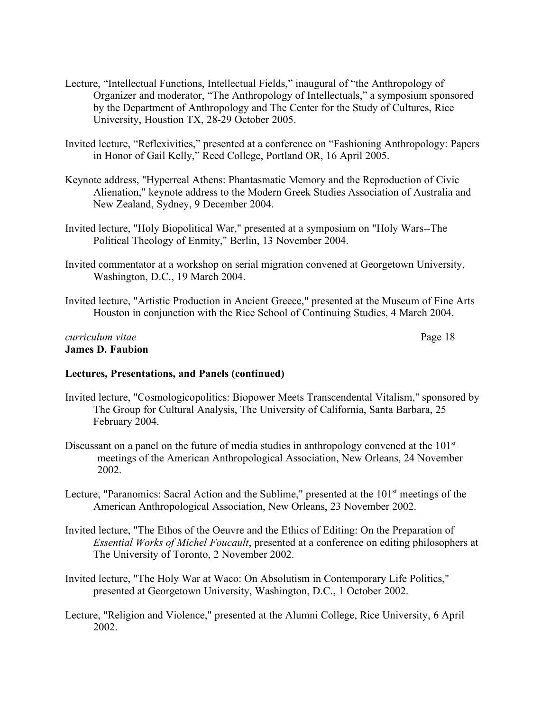- Lecture, "Intellectual Functions, Intellectual Fields," inaugural of "the Anthropology of Organizer and moderator, "The Anthropology of Intellectuals," a symposium sponsored by the Department of Anthropology and The Center for the Study of Cultures, Rice University, Houstion TX, 28-29 October 2005.
- Invited lecture, "Reflexivities," presented at a conference on "Fashioning Anthropology: Papers in Honor of Gail Kelly," Reed College, Portland OR, 16 April 2005.
- Keynote address, "Hyperreal Athens: Phantasmatic Memory and the Reproduction of Civic Alienation," keynote address to the Modern Greek Studies Association of Australia and New Zealand, Sydney, 9 December 2004.
- Invited lecture, "Holy Biopolitical War," presented at a symposium on "Holy Wars--The Political Theology of Enmity," Berlin, 13 November 2004.
- Invited commentator at a workshop on serial migration convened at Georgetown University, Washington, D.C., 19 March 2004.
- Invited lecture, "Artistic Production in Ancient Greece," presented at the Museum of Fine Arts Houston in conjunction with the Rice School of Continuing Studies, 4 March 2004.

#### *curriculum vitae* Page 18 **James D. Faubion**

- Invited lecture, "Cosmologicopolitics: Biopower Meets Transcendental Vitalism," sponsored by The Group for Cultural Analysis, The University of California, Santa Barbara, 25 February 2004.
- Discussant on a panel on the future of media studies in anthropology convened at the  $101<sup>st</sup>$ meetings of the American Anthropological Association, New Orleans, 24 November 2002.
- Lecture, "Paranomics: Sacral Action and the Sublime," presented at the 101<sup>st</sup> meetings of the American Anthropological Association, New Orleans, 23 November 2002.
- Invited lecture, "The Ethos of the Oeuvre and the Ethics of Editing: On the Preparation of *Essential Works of Michel Foucault*, presented at a conference on editing philosophers at The University of Toronto, 2 November 2002.
- Invited lecture, "The Holy War at Waco: On Absolutism in Contemporary Life Politics," presented at Georgetown University, Washington, D.C., 1 October 2002.
- Lecture, "Religion and Violence," presented at the Alumni College, Rice University, 6 April 2002.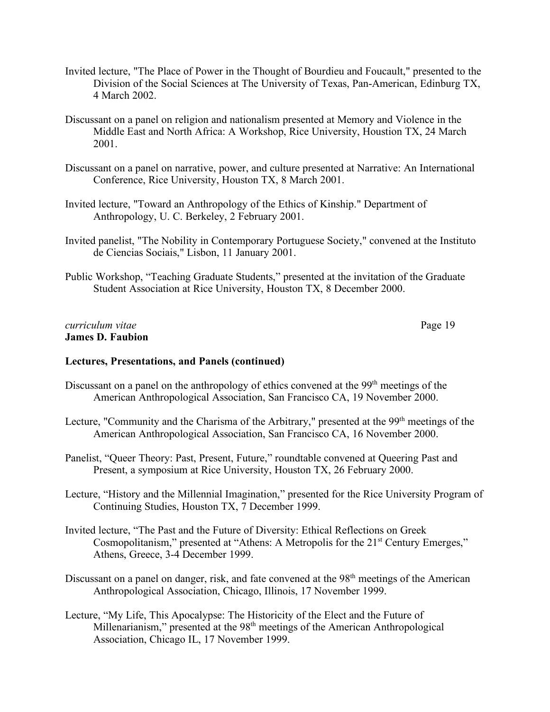- Invited lecture, "The Place of Power in the Thought of Bourdieu and Foucault," presented to the Division of the Social Sciences at The University of Texas, Pan-American, Edinburg TX, 4 March 2002.
- Discussant on a panel on religion and nationalism presented at Memory and Violence in the Middle East and North Africa: A Workshop, Rice University, Houstion TX, 24 March 2001.
- Discussant on a panel on narrative, power, and culture presented at Narrative: An International Conference, Rice University, Houston TX, 8 March 2001.
- Invited lecture, "Toward an Anthropology of the Ethics of Kinship." Department of Anthropology, U. C. Berkeley, 2 February 2001.
- Invited panelist, "The Nobility in Contemporary Portuguese Society," convened at the Instituto de Ciencias Sociais," Lisbon, 11 January 2001.
- Public Workshop, "Teaching Graduate Students," presented at the invitation of the Graduate Student Association at Rice University, Houston TX, 8 December 2000.

#### *curriculum vitae* Page 19 **James D. Faubion**

- Discussant on a panel on the anthropology of ethics convened at the 99<sup>th</sup> meetings of the American Anthropological Association, San Francisco CA, 19 November 2000.
- Lecture, "Community and the Charisma of the Arbitrary," presented at the 99<sup>th</sup> meetings of the American Anthropological Association, San Francisco CA, 16 November 2000.
- Panelist, "Queer Theory: Past, Present, Future," roundtable convened at Queering Past and Present, a symposium at Rice University, Houston TX, 26 February 2000.
- Lecture, "History and the Millennial Imagination," presented for the Rice University Program of Continuing Studies, Houston TX, 7 December 1999.
- Invited lecture, "The Past and the Future of Diversity: Ethical Reflections on Greek Cosmopolitanism," presented at "Athens: A Metropolis for the 21<sup>st</sup> Century Emerges," Athens, Greece, 3-4 December 1999.
- Discussant on a panel on danger, risk, and fate convened at the 98<sup>th</sup> meetings of the American Anthropological Association, Chicago, Illinois, 17 November 1999.
- Lecture, "My Life, This Apocalypse: The Historicity of the Elect and the Future of Millenarianism," presented at the 98<sup>th</sup> meetings of the American Anthropological Association, Chicago IL, 17 November 1999.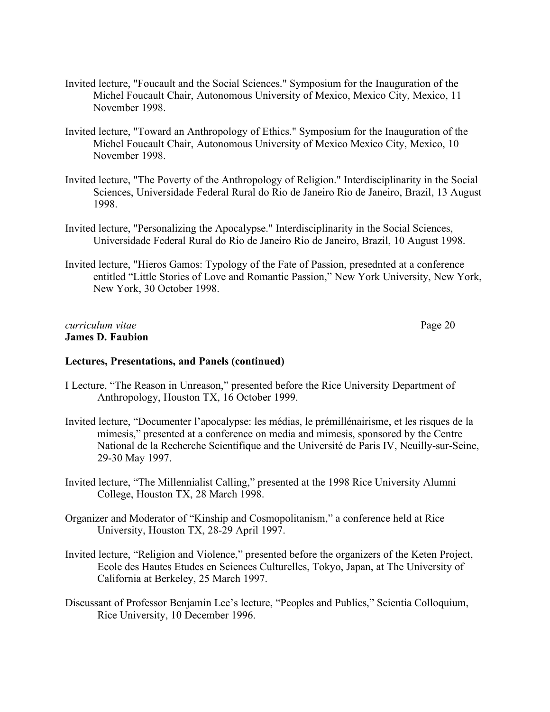- Invited lecture, "Foucault and the Social Sciences." Symposium for the Inauguration of the Michel Foucault Chair, Autonomous University of Mexico, Mexico City, Mexico, 11 November 1998.
- Invited lecture, "Toward an Anthropology of Ethics." Symposium for the Inauguration of the Michel Foucault Chair, Autonomous University of Mexico Mexico City, Mexico, 10 November 1998.
- Invited lecture, "The Poverty of the Anthropology of Religion." Interdisciplinarity in the Social Sciences, Universidade Federal Rural do Rio de Janeiro Rio de Janeiro, Brazil, 13 August 1998.
- Invited lecture, "Personalizing the Apocalypse." Interdisciplinarity in the Social Sciences, Universidade Federal Rural do Rio de Janeiro Rio de Janeiro, Brazil, 10 August 1998.
- Invited lecture, "Hieros Gamos: Typology of the Fate of Passion, presednted at a conference entitled "Little Stories of Love and Romantic Passion," New York University, New York, New York, 30 October 1998.

#### *curriculum vitae* Page 20 **James D. Faubion**

- I Lecture, "The Reason in Unreason," presented before the Rice University Department of Anthropology, Houston TX, 16 October 1999.
- Invited lecture, "Documenter l'apocalypse: les médias, le prémillénairisme, et les risques de la mimesis," presented at a conference on media and mimesis, sponsored by the Centre National de la Recherche Scientifique and the Université de Paris IV, Neuilly-sur-Seine, 29-30 May 1997.
- Invited lecture, "The Millennialist Calling," presented at the 1998 Rice University Alumni College, Houston TX, 28 March 1998.
- Organizer and Moderator of "Kinship and Cosmopolitanism," a conference held at Rice University, Houston TX, 28-29 April 1997.
- Invited lecture, "Religion and Violence," presented before the organizers of the Keten Project, Ecole des Hautes Etudes en Sciences Culturelles, Tokyo, Japan, at The University of California at Berkeley, 25 March 1997.
- Discussant of Professor Benjamin Lee's lecture, "Peoples and Publics," Scientia Colloquium, Rice University, 10 December 1996.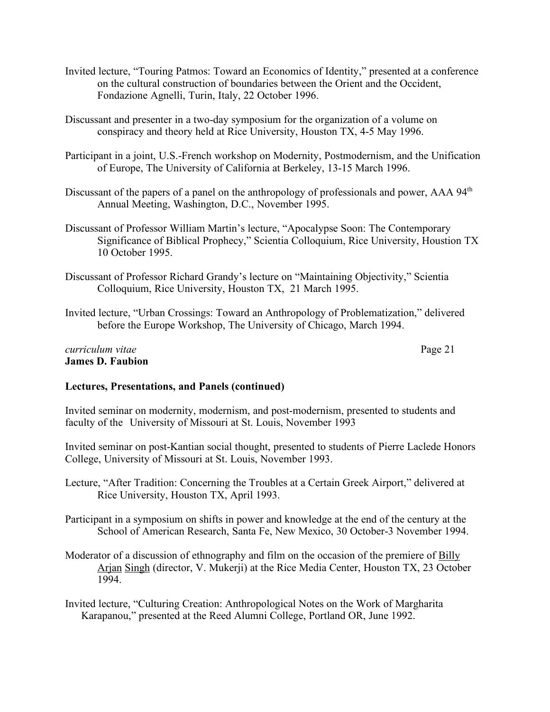- Invited lecture, "Touring Patmos: Toward an Economics of Identity," presented at a conference on the cultural construction of boundaries between the Orient and the Occident, Fondazione Agnelli, Turin, Italy, 22 October 1996.
- Discussant and presenter in a two-day symposium for the organization of a volume on conspiracy and theory held at Rice University, Houston TX, 4-5 May 1996.
- Participant in a joint, U.S.-French workshop on Modernity, Postmodernism, and the Unification of Europe, The University of California at Berkeley, 13-15 March 1996.
- Discussant of the papers of a panel on the anthropology of professionals and power, AAA 94<sup>th</sup> Annual Meeting, Washington, D.C., November 1995.
- Discussant of Professor William Martin's lecture, "Apocalypse Soon: The Contemporary Significance of Biblical Prophecy," Scientia Colloquium, Rice University, Houstion TX 10 October 1995.
- Discussant of Professor Richard Grandy's lecture on "Maintaining Objectivity," Scientia Colloquium, Rice University, Houston TX, 21 March 1995.
- Invited lecture, "Urban Crossings: Toward an Anthropology of Problematization," delivered before the Europe Workshop, The University of Chicago, March 1994.

#### *curriculum vitae* Page 21 **James D. Faubion**

# **Lectures, Presentations, and Panels (continued)**

Invited seminar on modernity, modernism, and post-modernism, presented to students and faculty of the University of Missouri at St. Louis, November 1993

Invited seminar on post-Kantian social thought, presented to students of Pierre Laclede Honors College, University of Missouri at St. Louis, November 1993.

- Lecture, "After Tradition: Concerning the Troubles at a Certain Greek Airport," delivered at Rice University, Houston TX, April 1993.
- Participant in a symposium on shifts in power and knowledge at the end of the century at the School of American Research, Santa Fe, New Mexico, 30 October-3 November 1994.
- Moderator of a discussion of ethnography and film on the occasion of the premiere of Billy Arjan Singh (director, V. Mukerji) at the Rice Media Center, Houston TX, 23 October 1994.

Invited lecture, "Culturing Creation: Anthropological Notes on the Work of Margharita Karapanou," presented at the Reed Alumni College, Portland OR, June 1992.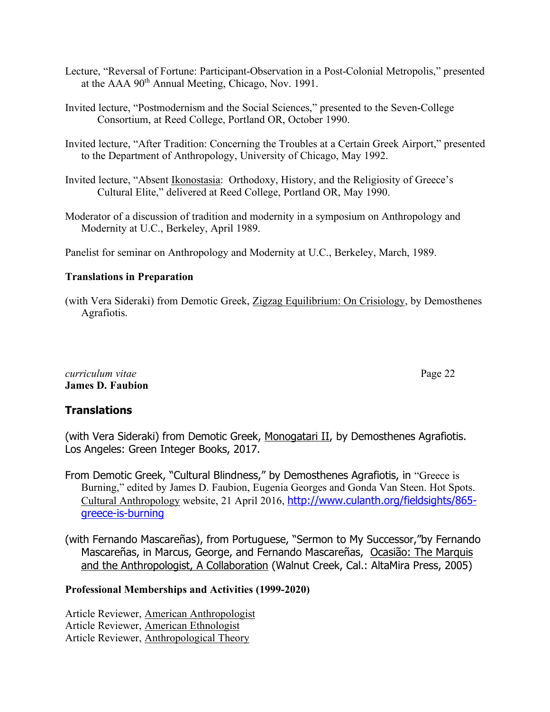- Lecture, "Reversal of Fortune: Participant-Observation in a Post-Colonial Metropolis," presented at the AAA 90<sup>th</sup> Annual Meeting, Chicago, Nov. 1991.
- Invited lecture, "Postmodernism and the Social Sciences," presented to the Seven-College Consortium, at Reed College, Portland OR, October 1990.
- Invited lecture, "After Tradition: Concerning the Troubles at a Certain Greek Airport," presented to the Department of Anthropology, University of Chicago, May 1992.
- Invited lecture, "Absent Ikonostasia: Orthodoxy, History, and the Religiosity of Greece's Cultural Elite," delivered at Reed College, Portland OR, May 1990.
- Moderator of a discussion of tradition and modernity in a symposium on Anthropology and Modernity at U.C., Berkeley, April 1989.

Panelist for seminar on Anthropology and Modernity at U.C., Berkeley, March, 1989.

# **Translations in Preparation**

(with Vera Sideraki) from Demotic Greek, Zigzag Equilibrium: On Crisiology, by Demosthenes Agrafiotis.

# *curriculum vitae* Page 22 **James D. Faubion**

# **Translations**

(with Vera Sideraki) from Demotic Greek, Monogatari II, by Demosthenes Agrafiotis. Los Angeles: Green Integer Books, 2017.

- From Demotic Greek, "Cultural Blindness," by Demosthenes Agrafiotis, in "Greece is Burning," edited by James D. Faubion, Eugenia Georges and Gonda Van Steen. Hot Spots. Cultural Anthropology website, 21 April 2016, http://www.culanth.org/fieldsights/865 greece-is-burning
- (with Fernando Mascareñas), from Portuguese, "Sermon to My Successor,"by Fernando Mascareñas, in Marcus, George, and Fernando Mascareñas, Ocasião: The Marquis and the Anthropologist, A Collaboration (Walnut Creek, Cal.: AltaMira Press, 2005)

# **Professional Memberships and Activities (1999-2020)**

Article Reviewer, American Anthropologist Article Reviewer, American Ethnologist Article Reviewer, Anthropological Theory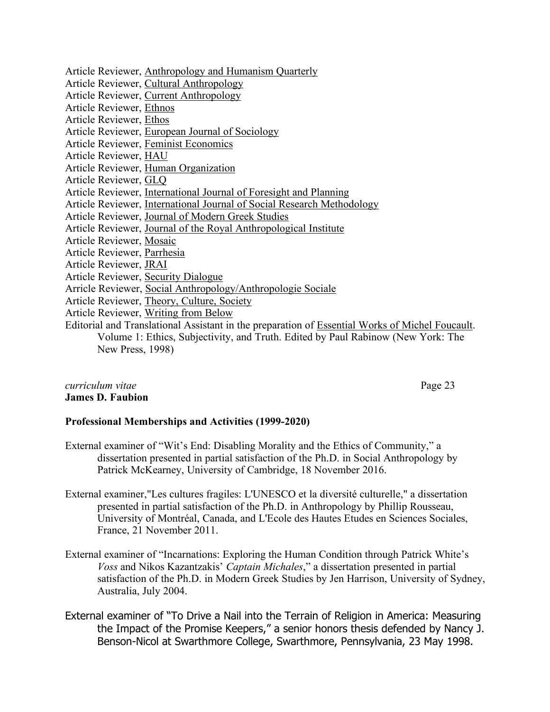Article Reviewer, Anthropology and Humanism Quarterly Article Reviewer, Cultural Anthropology Article Reviewer, Current Anthropology Article Reviewer, Ethnos Article Reviewer, Ethos Article Reviewer, European Journal of Sociology Article Reviewer, Feminist Economics Article Reviewer, HAU Article Reviewer, Human Organization Article Reviewer, GLQ Article Reviewer, International Journal of Foresight and Planning Article Reviewer, International Journal of Social Research Methodology Article Reviewer, Journal of Modern Greek Studies Article Reviewer, Journal of the Royal Anthropological Institute Article Reviewer, Mosaic Article Reviewer, Parrhesia Article Reviewer, JRAI Article Reviewer, Security Dialogue Arricle Reviewer, Social Anthropology/Anthropologie Sociale Article Reviewer, Theory, Culture, Society Article Reviewer, Writing from Below Editorial and Translational Assistant in the preparation of Essential Works of Michel Foucault. Volume 1: Ethics, Subjectivity, and Truth. Edited by Paul Rabinow (New York: The New Press, 1998)

#### *curriculum vitae* Page 23 **James D. Faubion**

# **Professional Memberships and Activities (1999-2020)**

- External examiner of "Wit's End: Disabling Morality and the Ethics of Community," a dissertation presented in partial satisfaction of the Ph.D. in Social Anthropology by Patrick McKearney, University of Cambridge, 18 November 2016.
- External examiner,"Les cultures fragiles: L'UNESCO et la diversité culturelle," a dissertation presented in partial satisfaction of the Ph.D. in Anthropology by Phillip Rousseau, University of Montréal, Canada, and L'Ecole des Hautes Etudes en Sciences Sociales, France, 21 November 2011.
- External examiner of "Incarnations: Exploring the Human Condition through Patrick White's *Voss* and Nikos Kazantzakis' *Captain Michales*," a dissertation presented in partial satisfaction of the Ph.D. in Modern Greek Studies by Jen Harrison, University of Sydney, Australia, July 2004.
- External examiner of "To Drive a Nail into the Terrain of Religion in America: Measuring the Impact of the Promise Keepers," a senior honors thesis defended by Nancy J. Benson-Nicol at Swarthmore College, Swarthmore, Pennsylvania, 23 May 1998.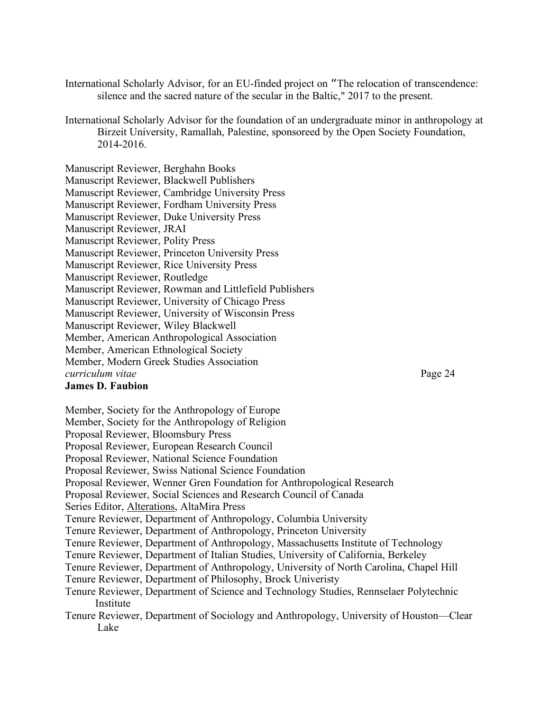- International Scholarly Advisor, for an EU-finded project on "The relocation of transcendence: silence and the sacred nature of the secular in the Baltic," 2017 to the present.
- International Scholarly Advisor for the foundation of an undergraduate minor in anthropology at Birzeit University, Ramallah, Palestine, sponsoreed by the Open Society Foundation, 2014-2016.

Manuscript Reviewer, Berghahn Books Manuscript Reviewer, Blackwell Publishers Manuscript Reviewer, Cambridge University Press Manuscript Reviewer, Fordham University Press Manuscript Reviewer, Duke University Press Manuscript Reviewer, JRAI Manuscript Reviewer, Polity Press Manuscript Reviewer, Princeton University Press Manuscript Reviewer, Rice University Press Manuscript Reviewer, Routledge Manuscript Reviewer, Rowman and Littlefield Publishers Manuscript Reviewer, University of Chicago Press Manuscript Reviewer, University of Wisconsin Press Manuscript Reviewer, Wiley Blackwell Member, American Anthropological Association Member, American Ethnological Society Member, Modern Greek Studies Association *curriculum vitae* Page 24

**James D. Faubion**

Member, Society for the Anthropology of Europe Member, Society for the Anthropology of Religion Proposal Reviewer, Bloomsbury Press Proposal Reviewer, European Research Council Proposal Reviewer, National Science Foundation Proposal Reviewer, Swiss National Science Foundation Proposal Reviewer, Wenner Gren Foundation for Anthropological Research Proposal Reviewer, Social Sciences and Research Council of Canada Series Editor, Alterations, AltaMira Press Tenure Reviewer, Department of Anthropology, Columbia University Tenure Reviewer, Department of Anthropology, Princeton University Tenure Reviewer, Department of Anthropology, Massachusetts Institute of Technology Tenure Reviewer, Department of Italian Studies, University of California, Berkeley Tenure Reviewer, Department of Anthropology, University of North Carolina, Chapel Hill Tenure Reviewer, Department of Philosophy, Brock Univeristy Tenure Reviewer, Department of Science and Technology Studies, Rennselaer Polytechnic Institute Tenure Reviewer, Department of Sociology and Anthropology, University of Houston—Clear Lake